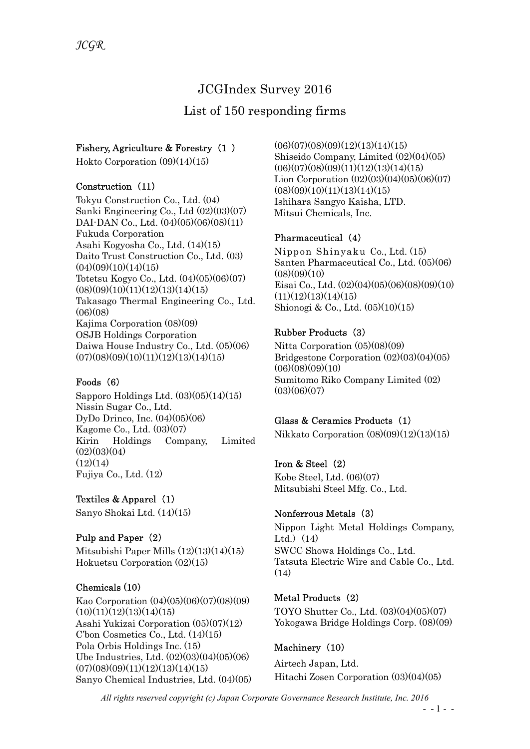# JCGIndex Survey 2016

# List of 150 responding firms

#### Fishery, Agriculture & Forestry (1 )

Hokto Corporation (09)(14)(15)

#### Construction (11)

Tokyu Construction Co., Ltd. (04) Sanki Engineering Co., Ltd (02)(03)(07) DAI-DAN Co., Ltd.  $(04)(05)(06)(08)(11)$ Fukuda Corporation Asahi Kogyosha Co., Ltd. (14)(15) Daito Trust Construction Co., Ltd. (03)  $(04)(09)(10)(14)(15)$ Totetsu Kogyo Co., Ltd. (04)(05)(06)(07)  $(08)(09)(10)(11)(12)(13)(14)(15)$ Takasago Thermal Engineering Co., Ltd.  $(06)(08)$ Kajima Corporation (08)(09) OSJB Holdings Corporation Daiwa House Industry Co., Ltd. (05)(06)  $(07)(08)(09)(10)(11)(12)(13)(14)(15)$ 

#### Foods (6)

Sapporo Holdings Ltd.  $(03)(05)(14)(15)$ Nissin Sugar Co., Ltd. DyDo Drinco, Inc. (04)(05)(06) Kagome Co., Ltd. (03)(07) Kirin Holdings Company, Limited  $(02)(03)(04)$  $(12)(14)$ Fujiya Co., Ltd. (12)

#### Textiles & Apparel (1)

Sanyo Shokai Ltd. (14)(15)

#### Pulp and Paper (2)

Mitsubishi Paper Mills (12)(13)(14)(15) Hokuetsu Corporation (02)(15)

#### Chemicals (10)

Kao Corporation (04)(05)(06)(07)(08)(09)  $(10)(11)(12)(13)(14)(15)$ Asahi Yukizai Corporation (05)(07)(12) C'bon Cosmetics Co., Ltd. (14)(15) Pola Orbis Holdings Inc. (15) Ube Industries, Ltd. (02)(03)(04)(05)(06)  $(07)(08)(09)(11)(12)(13)(14)(15)$ Sanyo Chemical Industries, Ltd. (04)(05)  $(06)(07)(08)(09)(12)(13)(14)(15)$ Shiseido Company, Limited (02)(04)(05)  $(06)(07)(08)(09)(11)(12)(13)(14)(15)$ Lion Corporation  $(02)(03)(04)(05)(06)(07)$  $(08)(09)(10)(11)(13)(14)(15)$ Ishihara Sangyo Kaisha, LTD. Mitsui Chemicals, Inc.

#### Pharmaceutical (4)

Nippon Shinyaku Co., Ltd. (15) Santen Pharmaceutical Co., Ltd. (05)(06)  $(08)(09)(10)$ Eisai Co., Ltd. (02)(04)(05)(06)(08)(09)(10)  $(11)(12)(13)(14)(15)$ Shionogi & Co., Ltd. (05)(10)(15)

#### Rubber Products (3)

Nitta Corporation (05)(08)(09) Bridgestone Corporation (02)(03)(04)(05)  $(06)(08)(09)(10)$ Sumitomo Riko Company Limited (02)  $(03)(06)(07)$ 

#### Glass & Ceramics Products (1)

Nikkato Corporation (08)(09)(12)(13)(15)

#### Iron & Steel (2)

Kobe Steel, Ltd. (06)(07) Mitsubishi Steel Mfg. Co., Ltd.

#### Nonferrous Metals (3)

Nippon Light Metal Holdings Company, Ltd. $(14)$ SWCC Showa Holdings Co., Ltd. Tatsuta Electric Wire and Cable Co., Ltd.  $(14)$ 

#### Metal Products (2)

TOYO Shutter Co., Ltd. (03)(04)(05)(07) Yokogawa Bridge Holdings Corp. (08)(09)

#### Machinery (10)

Airtech Japan, Ltd. Hitachi Zosen Corporation (03)(04)(05)

All rights reserved copyright (c) Japan Corporate Governance Research Institute, Inc. 2016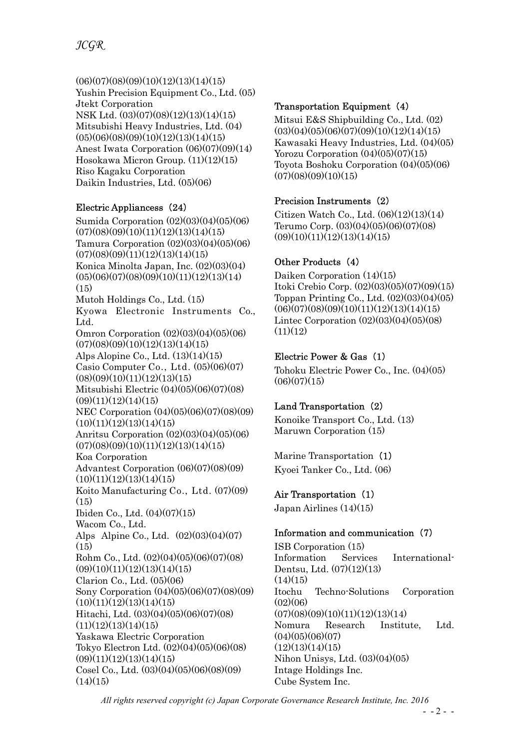$(06)(07)(08)(09)(10)(12)(13)(14)(15)$ Yushin Precision Equipment Co., Ltd. (05) Jtekt Corporation NSK Ltd. (03)(07)(08)(12)(13)(14)(15) Mitsubishi Heavy Industries, Ltd. (04)  $(05)(06)(08)(09)(10)(12)(13)(14)(15)$ Anest Iwata Corporation (06)(07)(09)(14) Hosokawa Micron Group. (11)(12)(15) Riso Kagaku Corporation Daikin Industries, Ltd. (05)(06)

#### Electric Appliancess (24)

Sumida Corporation (02)(03)(04)(05)(06)  $(07)(08)(09)(10)(11)(12)(13)(14)(15)$ Tamura Corporation (02)(03)(04)(05)(06)  $(07)(08)(09)(11)(12)(13)(14)(15)$ Konica Minolta Japan, Inc. (02)(03)(04)  $(05)(06)(07)(08)(09)(10)(11)(12)(13)(14)$  $(15)$ Mutoh Holdings Co., Ltd. (15) Kyowa Electronic Instruments Co., Ltd. Omron Corporation (02)(03)(04)(05)(06)  $(07)(08)(09)(10)(12)(13)(14)(15)$ Alps Alopine Co., Ltd. (13)(14)(15) Casio Computer Co., Ltd. (05)(06)(07)  $(08)(09)(10)(11)(12)(13)(15)$ Mitsubishi Electric (04)(05)(06)(07)(08)  $(09)(11)(12)(14)(15)$ NEC Corporation (04)(05)(06)(07)(08)(09)  $(10)(11)(12)(13)(14)(15)$ Anritsu Corporation (02)(03)(04)(05)(06)  $(07)(08)(09)(10)(11)(12)(13)(14)(15)$ Koa Corporation Advantest Corporation (06)(07)(08)(09)  $(10)(11)(12)(13)(14)(15)$ Koito Manufacturing Co., Ltd. (07)(09)  $(15)$ Ibiden Co., Ltd. (04)(07)(15) Wacom Co., Ltd. Alps Alpine Co., Ltd. (02)(03)(04)(07) (15) Rohm Co., Ltd. (02)(04)(05)(06)(07)(08)  $(09)(10)(11)(12)(13)(14)(15)$ Clarion Co., Ltd. (05)(06) Sony Corporation (04)(05)(06)(07)(08)(09)  $(10)(11)(12)(13)(14)(15)$ Hitachi, Ltd. (03)(04)(05)(06)(07)(08)  $(11)(12)(13)(14)(15)$ Yaskawa Electric Corporation Tokyo Electron Ltd. (02)(04)(05)(06)(08)  $(0.9)(11)(12)(13)(14)(15)$ Cosel Co., Ltd. (03)(04)(05)(06)(08)(09)  $(14)(15)$ 

#### Transportation Equipment (4)

Mitsui E&S Shipbuilding Co., Ltd. (02)  $(03)(04)(05)(06)(07)(09)(10)(12)(14)(15)$ Kawasaki Heavy Industries, Ltd. (04)(05) Yorozu Corporation  $(04)(05)(07)(15)$ Toyota Boshoku Corporation (04)(05)(06)  $(07)(08)(09)(10)(15)$ 

# Precision Instruments (2)

Citizen Watch Co., Ltd. (06)(12)(13)(14) Terumo Corp. (03)(04)(05)(06)(07)(08)  $(09)(10)(11)(12)(13)(14)(15)$ 

# Other Products (4)

Daiken Corporation (14)(15) Itoki Crebio Corp. (02)(03)(05)(07)(09)(15) Toppan Printing Co., Ltd. (02)(03)(04)(05)  $(06)(07)(08)(09)(10)(11)(12)(13)(14)(15)$ Lintec Corporation (02)(03)(04)(05)(08)  $(11)(12)$ 

# Electric Power & Gas (1)

Tohoku Electric Power Co., Inc. (04)(05)  $(06)(07)(15)$ 

#### Land Transportation (2)

Konoike Transport Co., Ltd. (13) Maruwn Corporation (15)

Marine Transportation (1) Kyoei Tanker Co., Ltd. (06)

#### Air Transportation (1)

Japan Airlines (14)(15)

#### Information and communication (7)

ISB Corporation (15) Information Services International-Dentsu, Ltd. (07)(12)(13)  $(14)(15)$ Itochu Techno-Solutions Corporation  $(02)(06)$  $(07)(08)(09)(10)(11)(12)(13)(14)$ Nomura Research Institute, Ltd.  $(04)(05)(06)(07)$  $(12)(13)(14)(15)$ Nihon Unisys, Ltd. (03)(04)(05) Intage Holdings Inc. Cube System Inc.

All rights reserved copyright (c) Japan Corporate Governance Research Institute, Inc. 2016